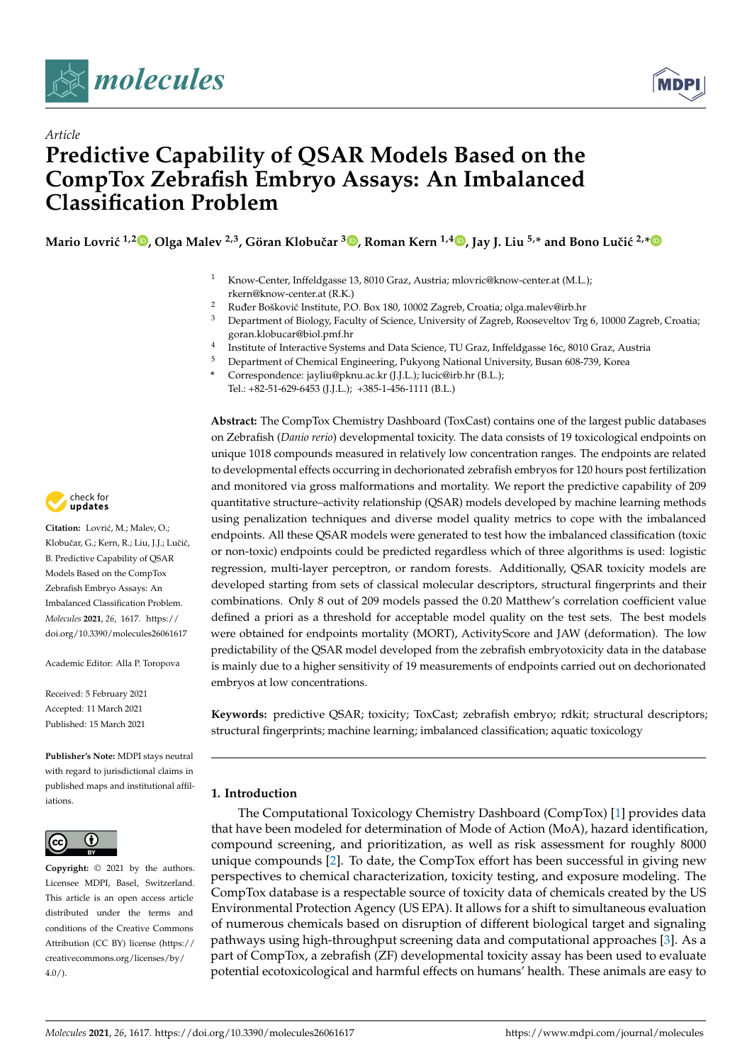

*Article*



# **Predictive Capability of QSAR Models Based on the CompTox Zebrafish Embryo Assays: An Imbalanced Classification Problem**

**Mario Lovri´c 1,[2](https://orcid.org/0000-0002-3541-9624) , Olga Malev 2,3, Göran Klobuˇcar [3](https://orcid.org/0000-0002-0838-4593) , Roman Kern 1,4 [,](https://orcid.org/0000-0003-0202-6100) Jay J. Liu 5,\* and Bono Luˇci´c 2,[\\*](https://orcid.org/0000-0001-7232-2007)**

- Know-Center, Inffeldgasse 13, 8010 Graz, Austria; mlovric@know-center.at (M.L.); rkern@know-center.at (R.K.)
- <sup>2</sup> Ruđer Bošković Institute, P.O. Box 180, 10002 Zagreb, Croatia; olga.malev@irb.hr
- <sup>3</sup> Department of Biology, Faculty of Science, University of Zagreb, Rooseveltov Trg 6, 10000 Zagreb, Croatia; goran.klobucar@biol.pmf.hr
- 4 Institute of Interactive Systems and Data Science, TU Graz, Inffeldgasse 16c, 8010 Graz, Austria
- <sup>5</sup> Department of Chemical Engineering, Pukyong National University, Busan 608-739, Korea
- **\*** Correspondence: jayliu@pknu.ac.kr (J.J.L.); lucic@irb.hr (B.L.); Tel.: +82-51-629-6453 (J.J.L.); +385-1-456-1111 (B.L.)

**Abstract:** The CompTox Chemistry Dashboard (ToxCast) contains one of the largest public databases on Zebrafish (*Danio rerio*) developmental toxicity. The data consists of 19 toxicological endpoints on unique 1018 compounds measured in relatively low concentration ranges. The endpoints are related to developmental effects occurring in dechorionated zebrafish embryos for 120 hours post fertilization and monitored via gross malformations and mortality. We report the predictive capability of 209 quantitative structure–activity relationship (QSAR) models developed by machine learning methods using penalization techniques and diverse model quality metrics to cope with the imbalanced endpoints. All these QSAR models were generated to test how the imbalanced classification (toxic or non-toxic) endpoints could be predicted regardless which of three algorithms is used: logistic regression, multi-layer perceptron, or random forests. Additionally, QSAR toxicity models are developed starting from sets of classical molecular descriptors, structural fingerprints and their combinations. Only 8 out of 209 models passed the 0.20 Matthew's correlation coefficient value defined a priori as a threshold for acceptable model quality on the test sets. The best models were obtained for endpoints mortality (MORT), ActivityScore and JAW (deformation). The low predictability of the QSAR model developed from the zebrafish embryotoxicity data in the database is mainly due to a higher sensitivity of 19 measurements of endpoints carried out on dechorionated embryos at low concentrations.

**Keywords:** predictive QSAR; toxicity; ToxCast; zebrafish embryo; rdkit; structural descriptors; structural fingerprints; machine learning; imbalanced classification; aquatic toxicology

# **1. Introduction**

The Computational Toxicology Chemistry Dashboard (CompTox) [\[1\]](#page-11-0) provides data that have been modeled for determination of Mode of Action (MoA), hazard identification, compound screening, and prioritization, as well as risk assessment for roughly 8000 unique compounds [\[2\]](#page-11-1). To date, the CompTox effort has been successful in giving new perspectives to chemical characterization, toxicity testing, and exposure modeling. The CompTox database is a respectable source of toxicity data of chemicals created by the US Environmental Protection Agency (US EPA). It allows for a shift to simultaneous evaluation of numerous chemicals based on disruption of different biological target and signaling pathways using high-throughput screening data and computational approaches [\[3\]](#page-11-2). As a part of CompTox, a zebrafish (ZF) developmental toxicity assay has been used to evaluate potential ecotoxicological and harmful effects on humans' health. These animals are easy to



Citation: Lovrić, M.; Malev, O.; Klobučar, G.; Kern, R.; Liu, J.J.; Lučić, B. Predictive Capability of QSAR Models Based on the CompTox Zebrafish Embryo Assays: An Imbalanced Classification Problem. *Molecules* **2021**, *26*, 1617. [https://](https://doi.org/10.3390/molecules26061617) [doi.org/10.3390/molecules26061617](https://doi.org/10.3390/molecules26061617)

Academic Editor: Alla P. Toropova

Received: 5 February 2021 Accepted: 11 March 2021 Published: 15 March 2021

**Publisher's Note:** MDPI stays neutral with regard to jurisdictional claims in published maps and institutional affiliations.



**Copyright:** © 2021 by the authors. Licensee MDPI, Basel, Switzerland. This article is an open access article distributed under the terms and conditions of the Creative Commons Attribution (CC BY) license (https:/[/](https://creativecommons.org/licenses/by/4.0/) [creativecommons.org/licenses/by/](https://creativecommons.org/licenses/by/4.0/)  $4.0/$ ).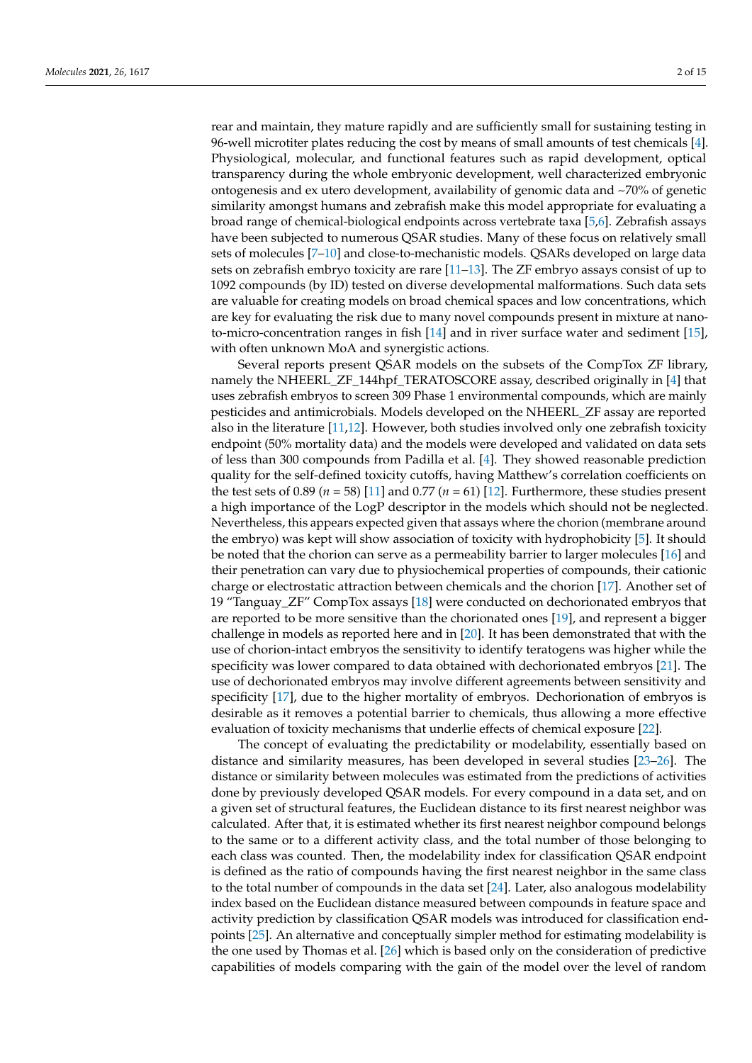rear and maintain, they mature rapidly and are sufficiently small for sustaining testing in 96-well microtiter plates reducing the cost by means of small amounts of test chemicals [\[4\]](#page-11-3). Physiological, molecular, and functional features such as rapid development, optical transparency during the whole embryonic development, well characterized embryonic ontogenesis and ex utero development, availability of genomic data and ~70% of genetic similarity amongst humans and zebrafish make this model appropriate for evaluating a broad range of chemical-biological endpoints across vertebrate taxa [\[5](#page-11-4)[,6\]](#page-12-0). Zebrafish assays have been subjected to numerous QSAR studies. Many of these focus on relatively small sets of molecules [\[7–](#page-12-1)[10\]](#page-12-2) and close-to-mechanistic models. QSARs developed on large data sets on zebrafish embryo toxicity are rare [\[11–](#page-12-3)[13\]](#page-12-4). The ZF embryo assays consist of up to 1092 compounds (by ID) tested on diverse developmental malformations. Such data sets are valuable for creating models on broad chemical spaces and low concentrations, which are key for evaluating the risk due to many novel compounds present in mixture at nanoto-micro-concentration ranges in fish [\[14\]](#page-12-5) and in river surface water and sediment [\[15\]](#page-12-6), with often unknown MoA and synergistic actions.

Several reports present QSAR models on the subsets of the CompTox ZF library, namely the NHEERL\_ZF\_144hpf\_TERATOSCORE assay, described originally in [\[4\]](#page-11-3) that uses zebrafish embryos to screen 309 Phase 1 environmental compounds, which are mainly pesticides and antimicrobials. Models developed on the NHEERL\_ZF assay are reported also in the literature [\[11,](#page-12-3)[12\]](#page-12-7). However, both studies involved only one zebrafish toxicity endpoint (50% mortality data) and the models were developed and validated on data sets of less than 300 compounds from Padilla et al. [\[4\]](#page-11-3). They showed reasonable prediction quality for the self-defined toxicity cutoffs, having Matthew's correlation coefficients on the test sets of 0.89 ( $n = 58$ ) [\[11\]](#page-12-3) and 0.77 ( $n = 61$ ) [\[12\]](#page-12-7). Furthermore, these studies present a high importance of the LogP descriptor in the models which should not be neglected. Nevertheless, this appears expected given that assays where the chorion (membrane around the embryo) was kept will show association of toxicity with hydrophobicity [\[5\]](#page-11-4). It should be noted that the chorion can serve as a permeability barrier to larger molecules [\[16\]](#page-12-8) and their penetration can vary due to physiochemical properties of compounds, their cationic charge or electrostatic attraction between chemicals and the chorion [\[17\]](#page-12-9). Another set of 19 "Tanguay\_ZF" CompTox assays [\[18\]](#page-12-10) were conducted on dechorionated embryos that are reported to be more sensitive than the chorionated ones [\[19\]](#page-12-11), and represent a bigger challenge in models as reported here and in [\[20\]](#page-12-12). It has been demonstrated that with the use of chorion-intact embryos the sensitivity to identify teratogens was higher while the specificity was lower compared to data obtained with dechorionated embryos [\[21\]](#page-12-13). The use of dechorionated embryos may involve different agreements between sensitivity and specificity [\[17\]](#page-12-9), due to the higher mortality of embryos. Dechorionation of embryos is desirable as it removes a potential barrier to chemicals, thus allowing a more effective evaluation of toxicity mechanisms that underlie effects of chemical exposure [\[22\]](#page-12-14).

The concept of evaluating the predictability or modelability, essentially based on distance and similarity measures, has been developed in several studies [\[23](#page-12-15)[–26\]](#page-12-16). The distance or similarity between molecules was estimated from the predictions of activities done by previously developed QSAR models. For every compound in a data set, and on a given set of structural features, the Euclidean distance to its first nearest neighbor was calculated. After that, it is estimated whether its first nearest neighbor compound belongs to the same or to a different activity class, and the total number of those belonging to each class was counted. Then, the modelability index for classification QSAR endpoint is defined as the ratio of compounds having the first nearest neighbor in the same class to the total number of compounds in the data set [\[24\]](#page-12-17). Later, also analogous modelability index based on the Euclidean distance measured between compounds in feature space and activity prediction by classification QSAR models was introduced for classification endpoints [\[25\]](#page-12-18). An alternative and conceptually simpler method for estimating modelability is the one used by Thomas et al. [\[26\]](#page-12-16) which is based only on the consideration of predictive capabilities of models comparing with the gain of the model over the level of random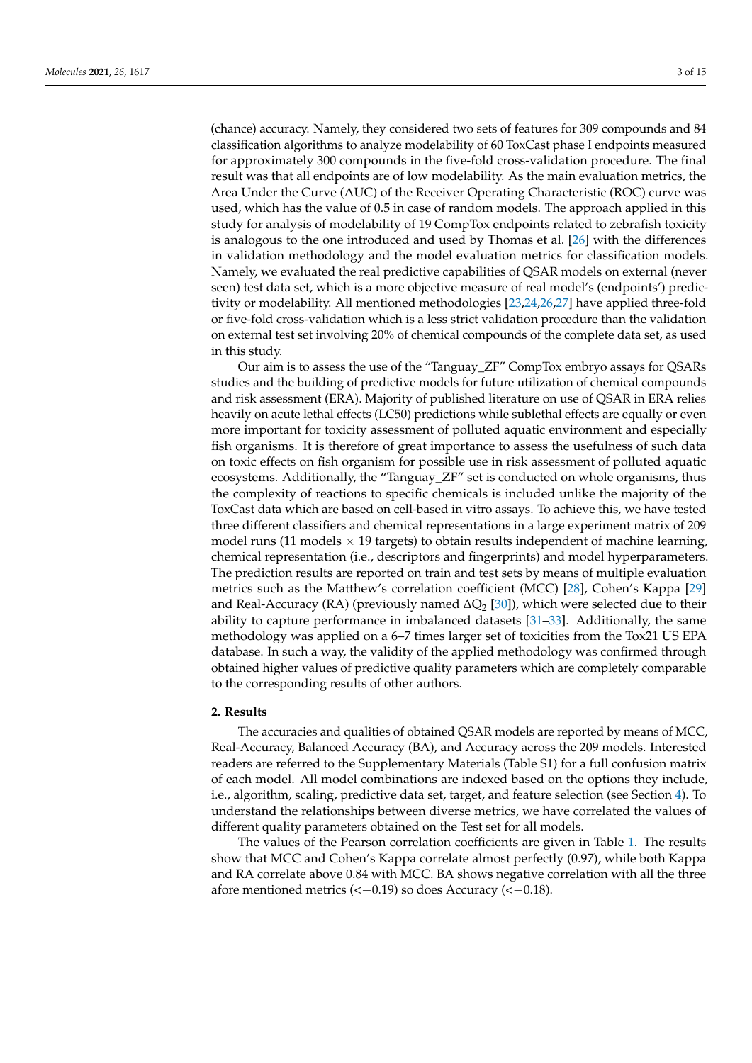(chance) accuracy. Namely, they considered two sets of features for 309 compounds and 84 classification algorithms to analyze modelability of 60 ToxCast phase I endpoints measured for approximately 300 compounds in the five-fold cross-validation procedure. The final result was that all endpoints are of low modelability. As the main evaluation metrics, the Area Under the Curve (AUC) of the Receiver Operating Characteristic (ROC) curve was used, which has the value of 0.5 in case of random models. The approach applied in this study for analysis of modelability of 19 CompTox endpoints related to zebrafish toxicity is analogous to the one introduced and used by Thomas et al. [\[26\]](#page-12-16) with the differences in validation methodology and the model evaluation metrics for classification models. Namely, we evaluated the real predictive capabilities of QSAR models on external (never seen) test data set, which is a more objective measure of real model's (endpoints') predictivity or modelability. All mentioned methodologies [\[23](#page-12-15)[,24](#page-12-17)[,26](#page-12-16)[,27\]](#page-12-19) have applied three-fold or five-fold cross-validation which is a less strict validation procedure than the validation on external test set involving 20% of chemical compounds of the complete data set, as used in this study.

Our aim is to assess the use of the "Tanguay\_ZF" CompTox embryo assays for QSARs studies and the building of predictive models for future utilization of chemical compounds and risk assessment (ERA). Majority of published literature on use of QSAR in ERA relies heavily on acute lethal effects (LC50) predictions while sublethal effects are equally or even more important for toxicity assessment of polluted aquatic environment and especially fish organisms. It is therefore of great importance to assess the usefulness of such data on toxic effects on fish organism for possible use in risk assessment of polluted aquatic ecosystems. Additionally, the "Tanguay\_ZF" set is conducted on whole organisms, thus the complexity of reactions to specific chemicals is included unlike the majority of the ToxCast data which are based on cell-based in vitro assays. To achieve this, we have tested three different classifiers and chemical representations in a large experiment matrix of 209 model runs (11 models  $\times$  19 targets) to obtain results independent of machine learning, chemical representation (i.e., descriptors and fingerprints) and model hyperparameters. The prediction results are reported on train and test sets by means of multiple evaluation metrics such as the Matthew's correlation coefficient (MCC) [\[28\]](#page-12-20), Cohen's Kappa [\[29\]](#page-12-21) and Real-Accuracy (RA) (previously named  $\Delta Q_2$  [\[30\]](#page-12-22)), which were selected due to their ability to capture performance in imbalanced datasets [\[31–](#page-12-23)[33\]](#page-13-0). Additionally, the same methodology was applied on a 6–7 times larger set of toxicities from the Tox21 US EPA database. In such a way, the validity of the applied methodology was confirmed through obtained higher values of predictive quality parameters which are completely comparable to the corresponding results of other authors.

# **2. Results**

The accuracies and qualities of obtained QSAR models are reported by means of MCC, Real-Accuracy, Balanced Accuracy (BA), and Accuracy across the 209 models. Interested readers are referred to the Supplementary Materials (Table S1) for a full confusion matrix of each model. All model combinations are indexed based on the options they include, i.e., algorithm, scaling, predictive data set, target, and feature selection (see Section [4\)](#page-7-0). To understand the relationships between diverse metrics, we have correlated the values of different quality parameters obtained on the Test set for all models.

The values of the Pearson correlation coefficients are given in Table [1.](#page-3-0) The results show that MCC and Cohen's Kappa correlate almost perfectly (0.97), while both Kappa and RA correlate above 0.84 with MCC. BA shows negative correlation with all the three afore mentioned metrics  $\leftlt-0.19\right)$  so does Accuracy  $\leftlt-0.18\right)$ .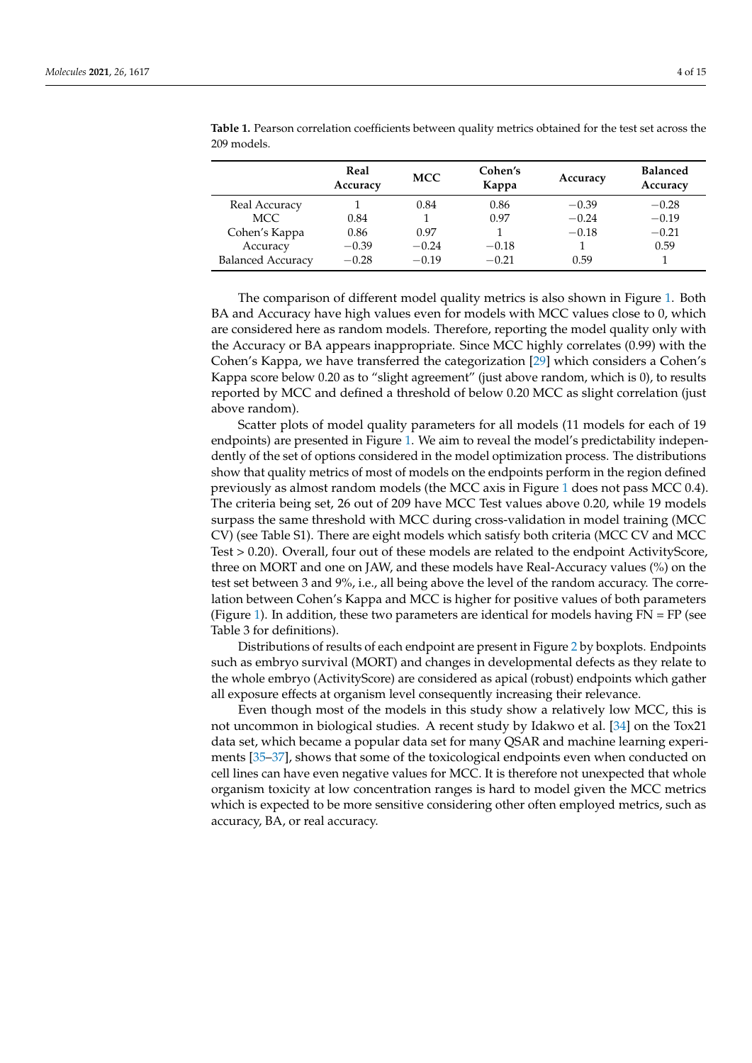|                          | Real<br>Accuracy | <b>MCC</b> | Cohen's<br>Kappa | Accuracy | <b>Balanced</b><br>Accuracy |
|--------------------------|------------------|------------|------------------|----------|-----------------------------|
| Real Accuracy            |                  | 0.84       | 0.86             | $-0.39$  | $-0.28$                     |
| MCC.                     | 0.84             |            | 0.97             | $-0.24$  | $-0.19$                     |
| Cohen's Kappa            | 0.86             | 0.97       |                  | $-0.18$  | $-0.21$                     |
| Accuracy                 | $-0.39$          | $-0.24$    | $-0.18$          |          | 0.59                        |
| <b>Balanced Accuracy</b> | $-0.28$          | $-0.19$    | $-0.21$          | 0.59     |                             |

<span id="page-3-0"></span>**Table 1.** Pearson correlation coefficients between quality metrics obtained for the test set across the 209 models.

The comparison of different model quality metrics is also shown in Figure [1.](#page-4-0) Both BA and Accuracy have high values even for models with MCC values close to 0, which are considered here as random models. Therefore, reporting the model quality only with the Accuracy or BA appears inappropriate. Since MCC highly correlates (0.99) with the Cohen's Kappa, we have transferred the categorization [\[29\]](#page-12-21) which considers a Cohen's Kappa score below 0.20 as to "slight agreement" (just above random, which is 0), to results reported by MCC and defined a threshold of below 0.20 MCC as slight correlation (just above random).

Scatter plots of model quality parameters for all models (11 models for each of 19 endpoints) are presented in Figure [1.](#page-4-0) We aim to reveal the model's predictability independently of the set of options considered in the model optimization process. The distributions show that quality metrics of most of models on the endpoints perform in the region defined previously as almost random models (the MCC axis in Figure [1](#page-4-0) does not pass MCC 0.4). The criteria being set, 26 out of 209 have MCC Test values above 0.20, while 19 models surpass the same threshold with MCC during cross-validation in model training (MCC CV) (see Table S1). There are eight models which satisfy both criteria (MCC CV and MCC Test > 0.20). Overall, four out of these models are related to the endpoint ActivityScore, three on MORT and one on JAW, and these models have Real-Accuracy values (%) on the test set between 3 and 9%, i.e., all being above the level of the random accuracy. The correlation between Cohen's Kappa and MCC is higher for positive values of both parameters (Figure [1\)](#page-4-0). In addition, these two parameters are identical for models having  $FN = FP$  (see Table 3 for definitions).

Distributions of results of each endpoint are present in Figure [2](#page-4-1) by boxplots. Endpoints such as embryo survival (MORT) and changes in developmental defects as they relate to the whole embryo (ActivityScore) are considered as apical (robust) endpoints which gather all exposure effects at organism level consequently increasing their relevance.

Even though most of the models in this study show a relatively low MCC, this is not uncommon in biological studies. A recent study by Idakwo et al. [\[34\]](#page-13-1) on the Tox21 data set, which became a popular data set for many QSAR and machine learning experiments [\[35](#page-13-2)[–37\]](#page-13-3), shows that some of the toxicological endpoints even when conducted on cell lines can have even negative values for MCC. It is therefore not unexpected that whole organism toxicity at low concentration ranges is hard to model given the MCC metrics which is expected to be more sensitive considering other often employed metrics, such as accuracy, BA, or real accuracy.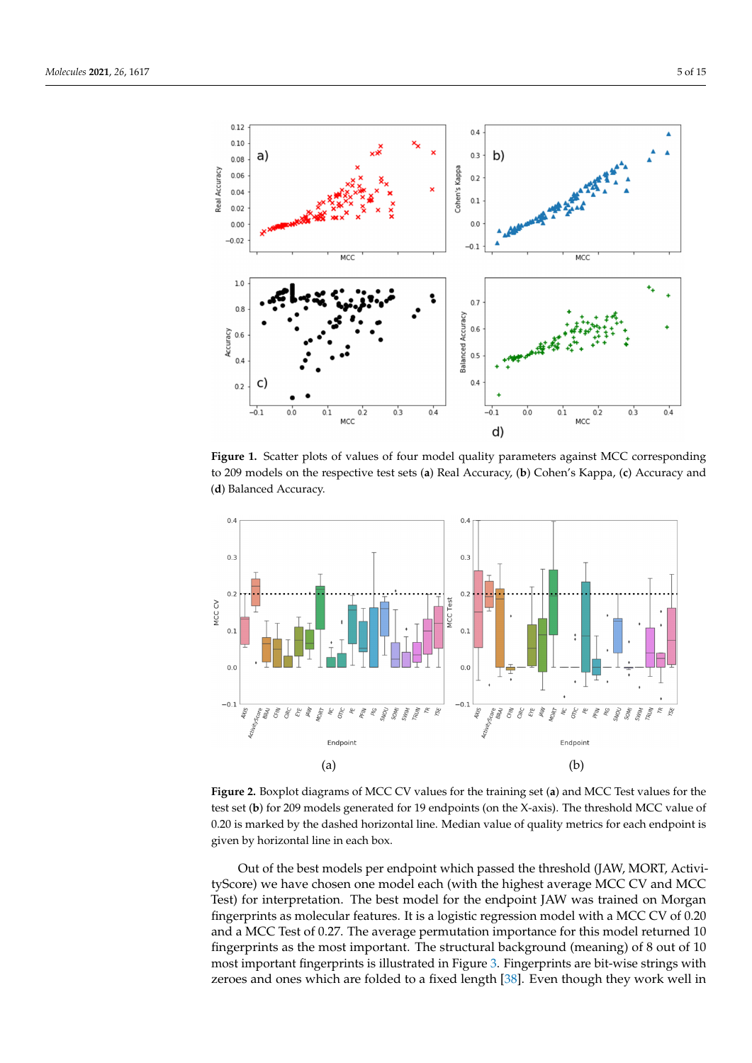<span id="page-4-0"></span>

Figure 1. Scatter plots of values of four model quality parameters against MCC corresponding to the corresponding to the corresponding to the corresponding to the corresponding to the corresponding to the corresponding to to 209 models on the respective test sets (a) Real Accuracy, (b) Cohen's Kappa, (c) Accuracy and (**d**) Balanced Accuracy. **Figure 1.** Scatter plots of values of four model quality parameters against MCC corresponding Figure 1. Scatter plots or values or four model quality parameters against MCC corresponding

<span id="page-4-1"></span>

(a) (b) given by horizontal line in each box. given by horizontal line in each box. **Figure 2.** Boxplot diagrams of MCC CV values for the training set (**a**) and MCC Test values for the **Figure 2.** Boxplot diagrams of MCC CV values for the training set (**a**) and MCC Test values for the test set (b) for 209 models generated for 19 endpoints (on the X-axis). The threshold MCC value of 0.20 is marked by the dashed horizontal line. Median value of quality metrics for each endpoint is 0.20 is marked by the dashed horizontal line. Median value of quality metrics for each endpoint is

Out of the best models per endpoint which passed the threshold (JAW, MORT, Activitest set (**b**) for 209 models generated for 19 endpoints (on the X-axis). The threshold models (on the X-axis). The threshold models (on the X-axis). The threshold models (on the X-axis). The threshold models (on the X-axi tyScore) we have chosen one model each (with the highest average MCC CV and MCC<br>The district is the model of the highest average MCC CV and MCC Test) for interpretation. The best model for the endpoint JAW was trained on Morgan fingerprints as molecular features. It is a logistic regression model with a MCC CV of 0.20 and a MCC Test of 0.27. The average permutation importance for this model returned 10 fingerprints as the most important. The structural background (meaning) of 8 out of 10 most important fingerprints is illustrated in Figure [3.](#page-5-0) Fingerprints are bit-wise strings with zeroes and ones which are folded to a fixed length [\[38\]](#page-13-4). Even though they work well in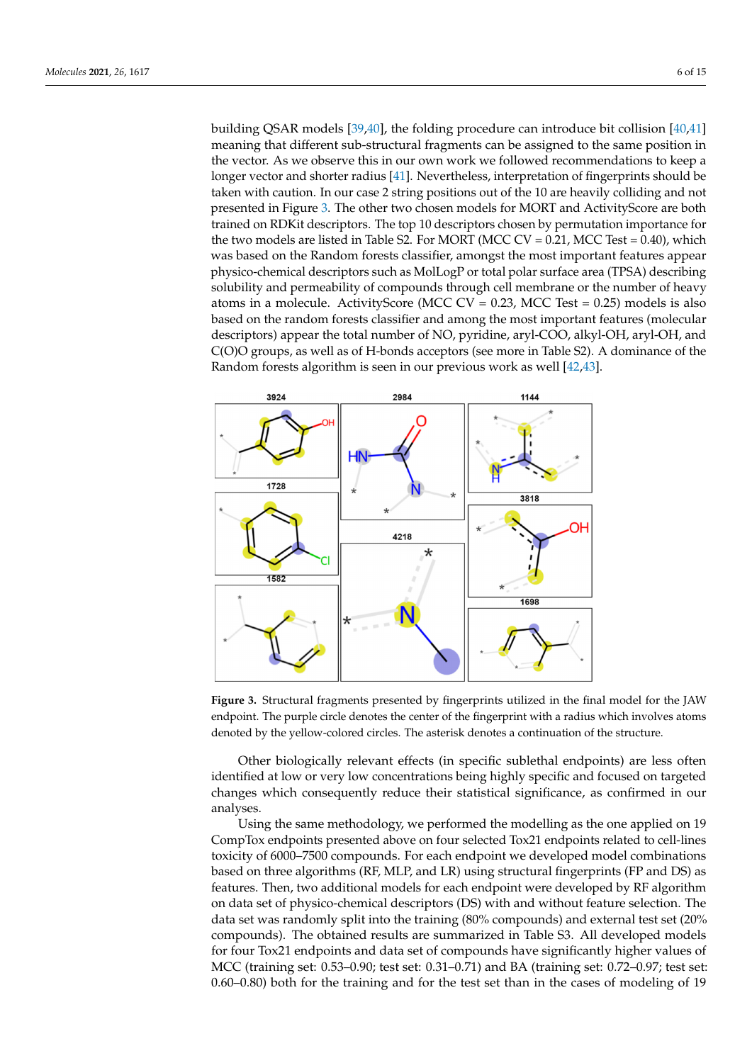building QSAR models [\[39](#page-13-5)[,40\]](#page-13-6), the folding procedure can introduce bit collision [\[40](#page-13-6)[,41\]](#page-13-7) meaning that different sub-structural fragments can be assigned to the same position in the vector. As we observe this in our own work we followed recommendations to keep a longer vector and shorter radius [41]. Nevertheless, interpretation of fingerprints s[hou](#page-13-7)ld be taken with caution. In our case 2 string positions out of the 10 are heavily colliding and not presented in Figure 3. The other two chosen models for MORT [a](#page-5-0)nd ActivityScore are both trained on RDKit descriptors. The top 10 descriptors chosen by permutation importance for the two models are listed in Table S2. For MORT (MCC  $CV = 0.21$ , MCC Test  $= 0.40$ ), which was based on the Random forests classifier, amongst the most important features appear physico-chemical descriptors such as MolLogP or total polar surface area (TPSA) describing solubility and permeability of compounds through cell membrane or the number of heavy atoms in a molecule. ActivityScore (MCC CV =  $0.23$ , MCC Test =  $0.25$ ) models is also based on the random forests classifier and among the most important features (molecular descriptors) appear the total number of NO, pyridine, aryl-COO, alkyl-OH, aryl-OH, and C(O)O groups, as well as of H-bonds acceptors (see more in Table S2). A dominance of the Random forests algorithm is seen in our previous work as well [\[42,](#page-13-8)[43\]](#page-13-9).

<span id="page-5-0"></span>

**Figure 3.** Structural fragments presented by fingerprints utilized in the final model for the JAW endpoint. The purple circle denotes the center of the fingerprint with a radius which involves atoms denoted by the yellow-colored circles. The asterisk denotes a continuation of the structure.

Other biologically relevant effects (in specific sublethal endpoints) are less often identified at low or very low concentrations being highly specific and focused on targeted changes which consequently reduce their statistical significance, as confirmed in our analyses.

Using the same methodology, we performed the modelling as the one applied on 19 CompTox endpoints presented above on four selected Tox21 endpoints related to cell-lines toxicity of 6000–7500 compounds. For each endpoint we developed model combinations based on three algorithms (RF, MLP, and LR) using structural fingerprints (FP and DS) as features. Then, two additional models for each endpoint were developed by RF algorithm on data set of physico-chemical descriptors (DS) with and without feature selection. The data set was randomly split into the training (80% compounds) and external test set (20% compounds). The obtained results are summarized in Table S3. All developed models for four Tox21 endpoints and data set of compounds have significantly higher values of MCC (training set: 0.53–0.90; test set: 0.31–0.71) and BA (training set: 0.72–0.97; test set: 0.60–0.80) both for the training and for the test set than in the cases of modeling of 19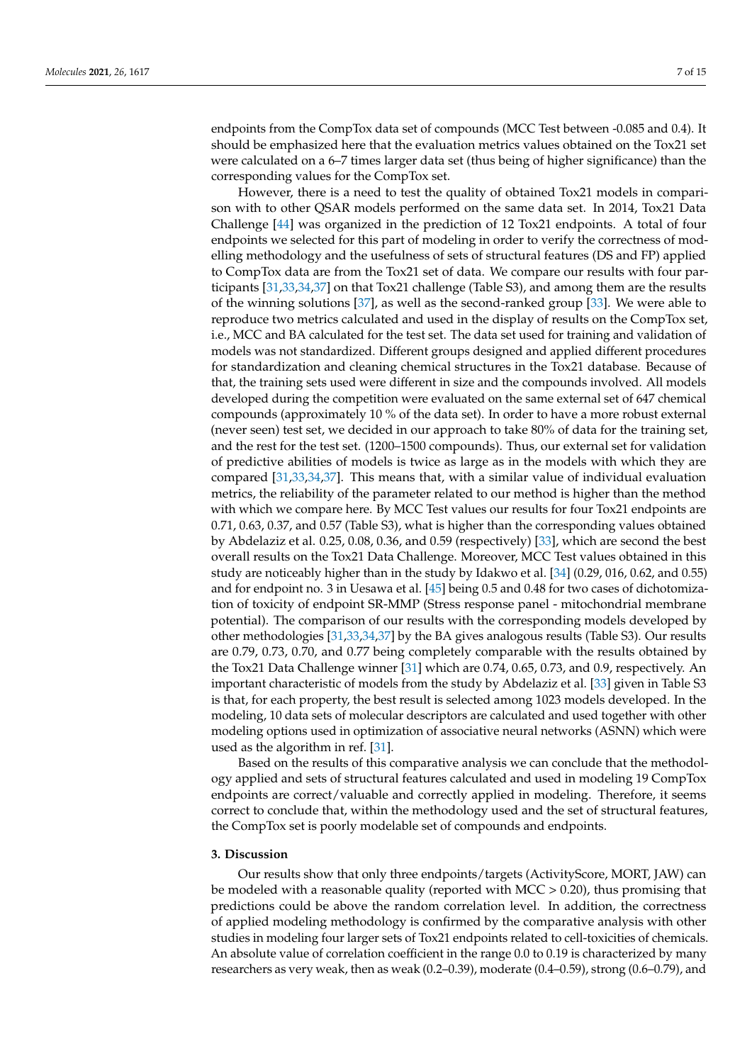endpoints from the CompTox data set of compounds (MCC Test between -0.085 and 0.4). It should be emphasized here that the evaluation metrics values obtained on the Tox21 set were calculated on a 6–7 times larger data set (thus being of higher significance) than the corresponding values for the CompTox set.

However, there is a need to test the quality of obtained Tox21 models in comparison with to other QSAR models performed on the same data set. In 2014, Tox21 Data Challenge [\[44\]](#page-13-10) was organized in the prediction of 12 Tox21 endpoints. A total of four endpoints we selected for this part of modeling in order to verify the correctness of modelling methodology and the usefulness of sets of structural features (DS and FP) applied to CompTox data are from the Tox21 set of data. We compare our results with four participants [\[31,](#page-12-23)[33,](#page-13-0)[34,](#page-13-1)[37\]](#page-13-3) on that Tox21 challenge (Table S3), and among them are the results of the winning solutions [\[37\]](#page-13-3), as well as the second-ranked group [\[33\]](#page-13-0). We were able to reproduce two metrics calculated and used in the display of results on the CompTox set, i.e., MCC and BA calculated for the test set. The data set used for training and validation of models was not standardized. Different groups designed and applied different procedures for standardization and cleaning chemical structures in the Tox21 database. Because of that, the training sets used were different in size and the compounds involved. All models developed during the competition were evaluated on the same external set of 647 chemical compounds (approximately 10 % of the data set). In order to have a more robust external (never seen) test set, we decided in our approach to take 80% of data for the training set, and the rest for the test set. (1200–1500 compounds). Thus, our external set for validation of predictive abilities of models is twice as large as in the models with which they are compared [\[31](#page-12-23)[,33](#page-13-0)[,34](#page-13-1)[,37\]](#page-13-3). This means that, with a similar value of individual evaluation metrics, the reliability of the parameter related to our method is higher than the method with which we compare here. By MCC Test values our results for four Tox21 endpoints are 0.71, 0.63, 0.37, and 0.57 (Table S3), what is higher than the corresponding values obtained by Abdelaziz et al. 0.25, 0.08, 0.36, and 0.59 (respectively) [\[33\]](#page-13-0), which are second the best overall results on the Tox21 Data Challenge. Moreover, MCC Test values obtained in this study are noticeably higher than in the study by Idakwo et al. [\[34\]](#page-13-1) (0.29, 016, 0.62, and 0.55) and for endpoint no. 3 in Uesawa et al. [\[45\]](#page-13-11) being 0.5 and 0.48 for two cases of dichotomization of toxicity of endpoint SR-MMP (Stress response panel - mitochondrial membrane potential). The comparison of our results with the corresponding models developed by other methodologies [\[31,](#page-12-23)[33,](#page-13-0)[34](#page-13-1)[,37\]](#page-13-3) by the BA gives analogous results (Table S3). Our results are 0.79, 0.73, 0.70, and 0.77 being completely comparable with the results obtained by the Tox21 Data Challenge winner [\[31\]](#page-12-23) which are 0.74, 0.65, 0.73, and 0.9, respectively. An important characteristic of models from the study by Abdelaziz et al. [\[33\]](#page-13-0) given in Table S3 is that, for each property, the best result is selected among 1023 models developed. In the modeling, 10 data sets of molecular descriptors are calculated and used together with other modeling options used in optimization of associative neural networks (ASNN) which were used as the algorithm in ref. [\[31\]](#page-12-23).

Based on the results of this comparative analysis we can conclude that the methodology applied and sets of structural features calculated and used in modeling 19 CompTox endpoints are correct/valuable and correctly applied in modeling. Therefore, it seems correct to conclude that, within the methodology used and the set of structural features, the CompTox set is poorly modelable set of compounds and endpoints.

# **3. Discussion**

Our results show that only three endpoints/targets (ActivityScore, MORT, JAW) can be modeled with a reasonable quality (reported with MCC > 0.20), thus promising that predictions could be above the random correlation level. In addition, the correctness of applied modeling methodology is confirmed by the comparative analysis with other studies in modeling four larger sets of Tox21 endpoints related to cell-toxicities of chemicals. An absolute value of correlation coefficient in the range 0.0 to 0.19 is characterized by many researchers as very weak, then as weak (0.2–0.39), moderate (0.4–0.59), strong (0.6–0.79), and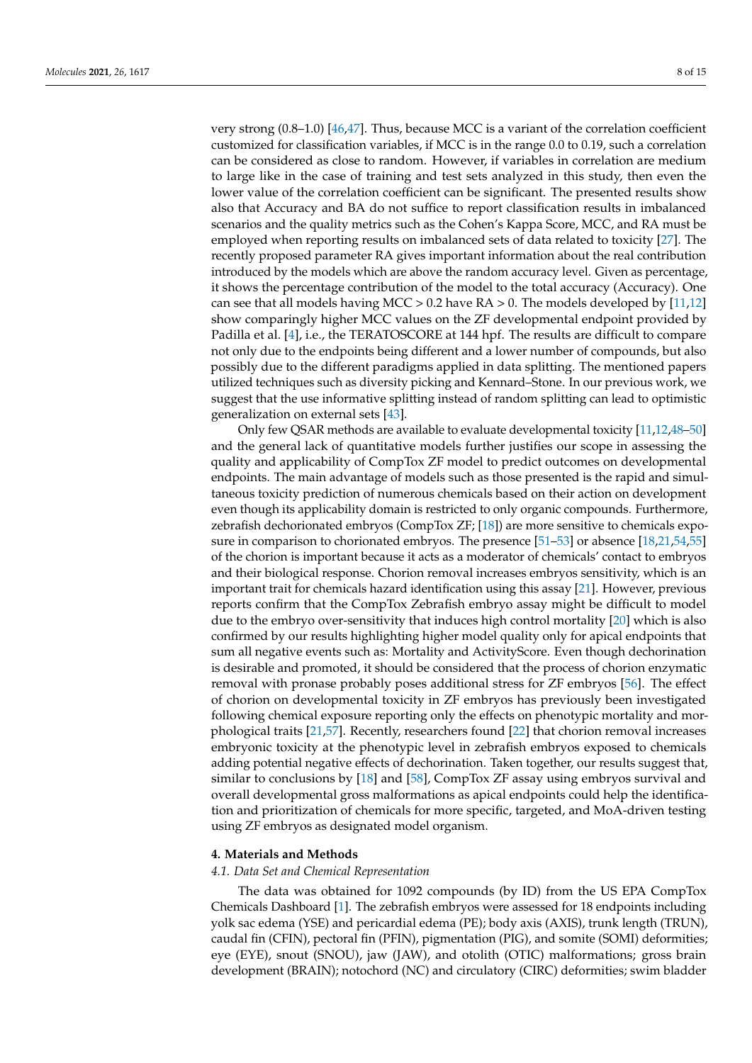very strong (0.8–1.0) [\[46,](#page-13-12)[47\]](#page-13-13). Thus, because MCC is a variant of the correlation coefficient customized for classification variables, if MCC is in the range 0.0 to 0.19, such a correlation can be considered as close to random. However, if variables in correlation are medium to large like in the case of training and test sets analyzed in this study, then even the lower value of the correlation coefficient can be significant. The presented results show also that Accuracy and BA do not suffice to report classification results in imbalanced scenarios and the quality metrics such as the Cohen's Kappa Score, MCC, and RA must be employed when reporting results on imbalanced sets of data related to toxicity [\[27\]](#page-12-19). The recently proposed parameter RA gives important information about the real contribution introduced by the models which are above the random accuracy level. Given as percentage, it shows the percentage contribution of the model to the total accuracy (Accuracy). One can see that all models having MCC  $> 0.2$  have RA  $> 0$ . The models developed by [\[11](#page-12-3)[,12\]](#page-12-7) show comparingly higher MCC values on the ZF developmental endpoint provided by Padilla et al. [\[4\]](#page-11-3), i.e., the TERATOSCORE at 144 hpf. The results are difficult to compare not only due to the endpoints being different and a lower number of compounds, but also possibly due to the different paradigms applied in data splitting. The mentioned papers utilized techniques such as diversity picking and Kennard–Stone. In our previous work, we suggest that the use informative splitting instead of random splitting can lead to optimistic generalization on external sets [\[43\]](#page-13-9).

Only few QSAR methods are available to evaluate developmental toxicity [\[11,](#page-12-3)[12](#page-12-7)[,48](#page-13-14)[–50\]](#page-13-15) and the general lack of quantitative models further justifies our scope in assessing the quality and applicability of CompTox ZF model to predict outcomes on developmental endpoints. The main advantage of models such as those presented is the rapid and simultaneous toxicity prediction of numerous chemicals based on their action on development even though its applicability domain is restricted to only organic compounds. Furthermore, zebrafish dechorionated embryos (CompTox ZF; [\[18\]](#page-12-10)) are more sensitive to chemicals exposure in comparison to chorionated embryos. The presence [\[51](#page-13-16)[–53\]](#page-13-17) or absence [\[18,](#page-12-10)[21,](#page-12-13)[54,](#page-13-18)[55\]](#page-13-19) of the chorion is important because it acts as a moderator of chemicals' contact to embryos and their biological response. Chorion removal increases embryos sensitivity, which is an important trait for chemicals hazard identification using this assay [\[21\]](#page-12-13). However, previous reports confirm that the CompTox Zebrafish embryo assay might be difficult to model due to the embryo over-sensitivity that induces high control mortality [\[20\]](#page-12-12) which is also confirmed by our results highlighting higher model quality only for apical endpoints that sum all negative events such as: Mortality and ActivityScore. Even though dechorination is desirable and promoted, it should be considered that the process of chorion enzymatic removal with pronase probably poses additional stress for ZF embryos [\[56\]](#page-13-20). The effect of chorion on developmental toxicity in ZF embryos has previously been investigated following chemical exposure reporting only the effects on phenotypic mortality and morphological traits [\[21,](#page-12-13)[57\]](#page-13-21). Recently, researchers found [\[22\]](#page-12-14) that chorion removal increases embryonic toxicity at the phenotypic level in zebrafish embryos exposed to chemicals adding potential negative effects of dechorination. Taken together, our results suggest that, similar to conclusions by [\[18\]](#page-12-10) and [\[58\]](#page-13-22), CompTox ZF assay using embryos survival and overall developmental gross malformations as apical endpoints could help the identification and prioritization of chemicals for more specific, targeted, and MoA-driven testing using ZF embryos as designated model organism.

### <span id="page-7-0"></span>**4. Materials and Methods**

#### *4.1. Data Set and Chemical Representation*

The data was obtained for 1092 compounds (by ID) from the US EPA CompTox Chemicals Dashboard [\[1\]](#page-11-0). The zebrafish embryos were assessed for 18 endpoints including yolk sac edema (YSE) and pericardial edema (PE); body axis (AXIS), trunk length (TRUN), caudal fin (CFIN), pectoral fin (PFIN), pigmentation (PIG), and somite (SOMI) deformities; eye (EYE), snout (SNOU), jaw (JAW), and otolith (OTIC) malformations; gross brain development (BRAIN); notochord (NC) and circulatory (CIRC) deformities; swim bladder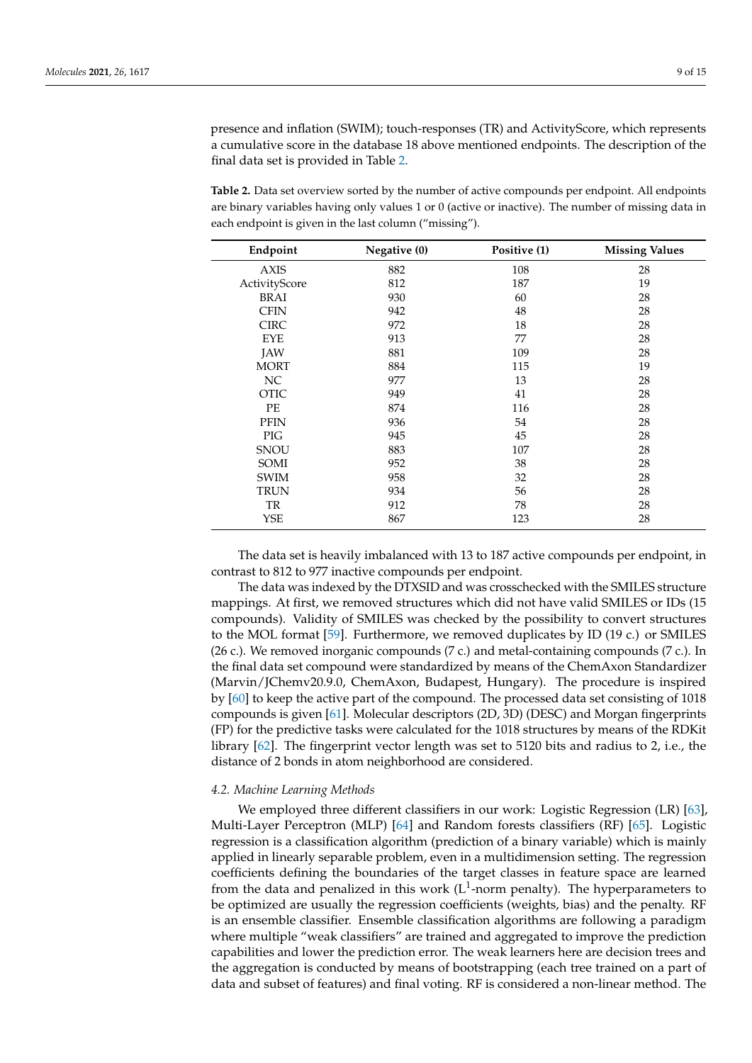presence and inflation (SWIM); touch-responses (TR) and ActivityScore, which represents a cumulative score in the database 18 above mentioned endpoints. The description of the final data set is provided in Table [2.](#page-8-0)

<span id="page-8-0"></span>**Table 2.** Data set overview sorted by the number of active compounds per endpoint. All endpoints are binary variables having only values 1 or 0 (active or inactive). The number of missing data in each endpoint is given in the last column ("missing").

| Endpoint      | Negative (0) | Positive (1) | <b>Missing Values</b> |
|---------------|--------------|--------------|-----------------------|
| <b>AXIS</b>   | 882          | 108          | 28                    |
| ActivityScore | 812          | 187          | 19                    |
| <b>BRAI</b>   | 930          | 60           | 28                    |
| <b>CFIN</b>   | 942          | 48           | 28                    |
| <b>CIRC</b>   | 972          | 18           | 28                    |
| <b>EYE</b>    | 913          | 77           | 28                    |
| <b>JAW</b>    | 881          | 109          | 28                    |
| <b>MORT</b>   | 884          | 115          | 19                    |
| NC            | 977          | 13           | 28                    |
| <b>OTIC</b>   | 949          | 41           | 28                    |
| PE            | 874          | 116          | 28                    |
| <b>PFIN</b>   | 936          | 54           | 28                    |
| PIG           | 945          | 45           | 28                    |
| <b>SNOU</b>   | 883          | 107          | 28                    |
| SOMI          | 952          | 38           | 28                    |
| <b>SWIM</b>   | 958          | 32           | 28                    |
| <b>TRUN</b>   | 934          | 56           | 28                    |
| TR            | 912          | 78           | 28                    |
| YSE           | 867          | 123          | 28                    |

The data set is heavily imbalanced with 13 to 187 active compounds per endpoint, in contrast to 812 to 977 inactive compounds per endpoint.

The data was indexed by the DTXSID and was crosschecked with the SMILES structure mappings. At first, we removed structures which did not have valid SMILES or IDs (15 compounds). Validity of SMILES was checked by the possibility to convert structures to the MOL format [\[59\]](#page-14-0). Furthermore, we removed duplicates by ID (19 c.) or SMILES (26 c.). We removed inorganic compounds (7 c.) and metal-containing compounds (7 c.). In the final data set compound were standardized by means of the ChemAxon Standardizer (Marvin/JChemv20.9.0, ChemAxon, Budapest, Hungary). The procedure is inspired by [\[60\]](#page-14-1) to keep the active part of the compound. The processed data set consisting of 1018 compounds is given [\[61\]](#page-14-2). Molecular descriptors (2D, 3D) (DESC) and Morgan fingerprints (FP) for the predictive tasks were calculated for the 1018 structures by means of the RDKit library [\[62\]](#page-14-3). The fingerprint vector length was set to 5120 bits and radius to 2, i.e., the distance of 2 bonds in atom neighborhood are considered.

#### <span id="page-8-1"></span>*4.2. Machine Learning Methods*

We employed three different classifiers in our work: Logistic Regression (LR) [\[63\]](#page-14-4), Multi-Layer Perceptron (MLP) [\[64\]](#page-14-5) and Random forests classifiers (RF) [\[65\]](#page-14-6). Logistic regression is a classification algorithm (prediction of a binary variable) which is mainly applied in linearly separable problem, even in a multidimension setting. The regression coefficients defining the boundaries of the target classes in feature space are learned from the data and penalized in this work ( $L^1$ -norm penalty). The hyperparameters to be optimized are usually the regression coefficients (weights, bias) and the penalty. RF is an ensemble classifier. Ensemble classification algorithms are following a paradigm where multiple "weak classifiers" are trained and aggregated to improve the prediction capabilities and lower the prediction error. The weak learners here are decision trees and the aggregation is conducted by means of bootstrapping (each tree trained on a part of data and subset of features) and final voting. RF is considered a non-linear method. The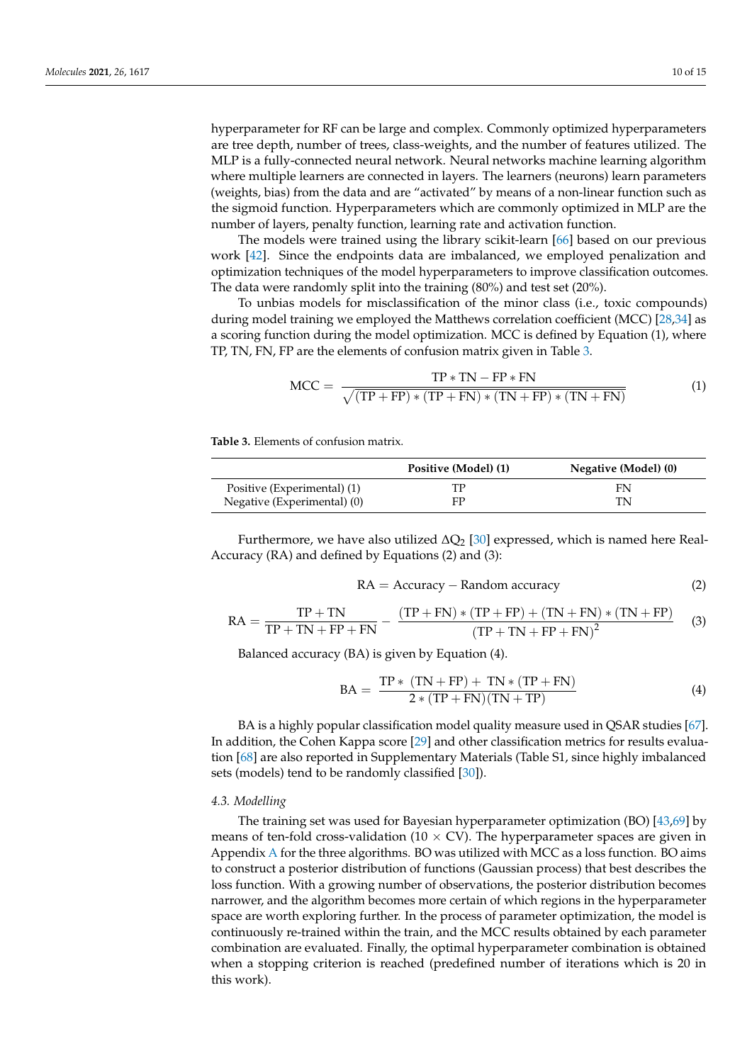hyperparameter for RF can be large and complex. Commonly optimized hyperparameters are tree depth, number of trees, class-weights, and the number of features utilized. The MLP is a fully-connected neural network. Neural networks machine learning algorithm where multiple learners are connected in layers. The learners (neurons) learn parameters (weights, bias) from the data and are "activated" by means of a non-linear function such as the sigmoid function. Hyperparameters which are commonly optimized in MLP are the number of layers, penalty function, learning rate and activation function.

The models were trained using the library scikit-learn [\[66\]](#page-14-7) based on our previous work [\[42\]](#page-13-8). Since the endpoints data are imbalanced, we employed penalization and optimization techniques of the model hyperparameters to improve classification outcomes. The data were randomly split into the training (80%) and test set (20%).

To unbias models for misclassification of the minor class (i.e., toxic compounds) during model training we employed the Matthews correlation coefficient (MCC) [\[28](#page-12-20)[,34\]](#page-13-1) as a scoring function during the model optimization. MCC is defined by Equation (1), where TP, TN, FN, FP are the elements of confusion matrix given in Table [3.](#page-9-0)

$$
MCC = \frac{TP * TN - FP * FN}{\sqrt{(TP + FP) * (TP + FN) * (TN + FP) * (TN + FN)}}
$$
(1)

<span id="page-9-0"></span>**Table 3.** Elements of confusion matrix.

|                             | Positive (Model) (1) | Negative (Model) (0) |
|-----------------------------|----------------------|----------------------|
| Positive (Experimental) (1) |                      | FN                   |
| Negative (Experimental) (0) | FP                   | TN                   |

Furthermore, we have also utilized  $\Delta Q_2$  [\[30\]](#page-12-22) expressed, which is named here Real-Accuracy (RA) and defined by Equations (2) and (3):

$$
RA = Accuracy - Random accuracy \tag{2}
$$

$$
RA = \frac{TP + TN}{TP + TN + FP + FN} - \frac{(TP + FN) * (TP + FP) + (TN + FN) * (TN + FP)}{(TP + TN + FP + FN)^{2}}
$$
(3)

Balanced accuracy (BA) is given by Equation (4).

$$
BA = \frac{TP * (TN + FP) + TN * (TP + FN)}{2 * (TP + FN)(TN + TP)}
$$
\n(4)

BA is a highly popular classification model quality measure used in QSAR studies [\[67\]](#page-14-8). In addition, the Cohen Kappa score [\[29\]](#page-12-21) and other classification metrics for results evaluation [\[68\]](#page-14-9) are also reported in Supplementary Materials (Table S1, since highly imbalanced sets (models) tend to be randomly classified [\[30\]](#page-12-22)).

#### *4.3. Modelling*

The training set was used for Bayesian hyperparameter optimization (BO) [\[43](#page-13-9)[,69\]](#page-14-10) by means of ten-fold cross-validation ( $10 \times CV$ ). The hyperparameter spaces are given in Appendix [A](#page-11-5) for the three algorithms. BO was utilized with MCC as a loss function. BO aims to construct a posterior distribution of functions (Gaussian process) that best describes the loss function. With a growing number of observations, the posterior distribution becomes narrower, and the algorithm becomes more certain of which regions in the hyperparameter space are worth exploring further. In the process of parameter optimization, the model is continuously re-trained within the train, and the MCC results obtained by each parameter combination are evaluated. Finally, the optimal hyperparameter combination is obtained when a stopping criterion is reached (predefined number of iterations which is 20 in this work).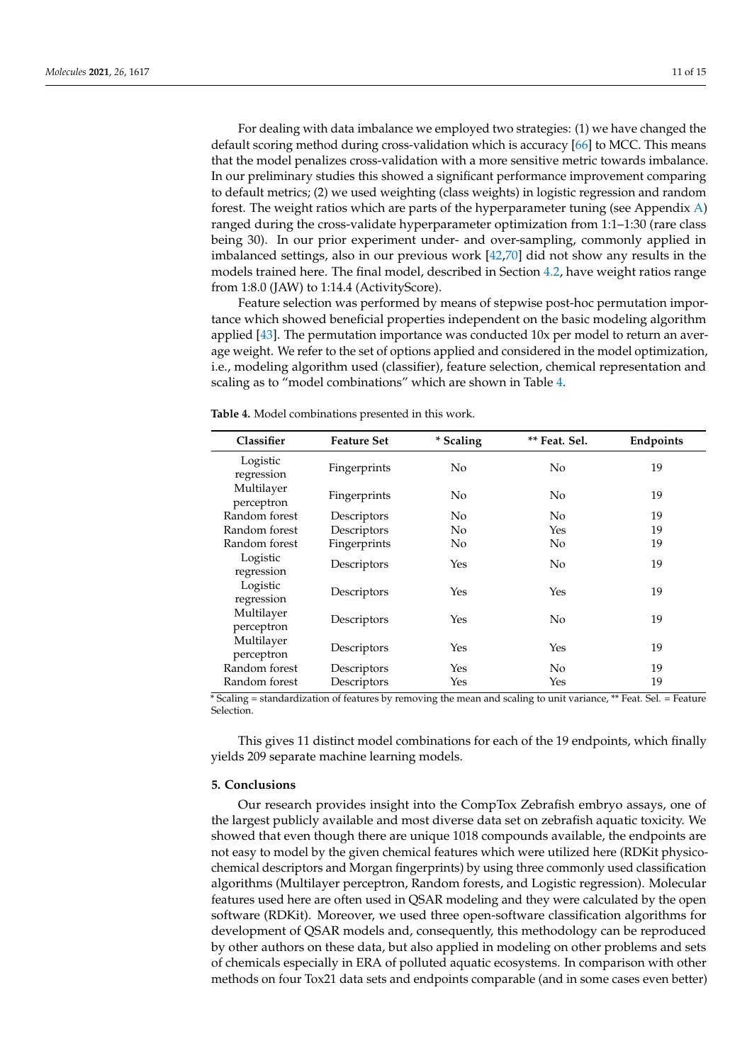For dealing with data imbalance we employed two strategies: (1) we have changed the default scoring method during cross-validation which is accuracy [\[66\]](#page-14-7) to MCC. This means that the model penalizes cross-validation with a more sensitive metric towards imbalance. In our preliminary studies this showed a significant performance improvement comparing to default metrics; (2) we used weighting (class weights) in logistic regression and random forest. The weight ratios which are parts of the hyperparameter tuning (see Appendix [A\)](#page-11-5) ranged during the cross-validate hyperparameter optimization from 1:1–1:30 (rare class being 30). In our prior experiment under- and over-sampling, commonly applied in imbalanced settings, also in our previous work [\[42,](#page-13-8)[70\]](#page-14-11) did not show any results in the models trained here. The final model, described in Section [4.2,](#page-8-1) have weight ratios range from 1:8.0 (JAW) to 1:14.4 (ActivityScore).

Feature selection was performed by means of stepwise post-hoc permutation importance which showed beneficial properties independent on the basic modeling algorithm applied [\[43\]](#page-13-9). The permutation importance was conducted 10x per model to return an average weight. We refer to the set of options applied and considered in the model optimization, i.e., modeling algorithm used (classifier), feature selection, chemical representation and scaling as to "model combinations" which are shown in Table [4.](#page-10-0)

| Classifier               | <b>Feature Set</b> | * Scaling      | ** Feat. Sel.  | Endpoints |
|--------------------------|--------------------|----------------|----------------|-----------|
| Logistic<br>regression   | Fingerprints       | No             | N <sub>0</sub> | 19        |
| Multilayer<br>perceptron | Fingerprints       | No             | N <sub>0</sub> | 19        |
| Random forest            | Descriptors        | No             | N <sub>0</sub> | 19        |
| Random forest            | Descriptors        | No             | Yes            | 19        |
| Random forest            | Fingerprints       | N <sub>o</sub> | N <sub>0</sub> | 19        |
| Logistic<br>regression   | Descriptors        | Yes            | No             | 19        |
| Logistic<br>regression   | Descriptors        | Yes            | Yes            | 19        |
| Multilayer<br>perceptron | Descriptors        | Yes            | N <sub>0</sub> | 19        |
| Multilayer<br>perceptron | Descriptors        | Yes            | Yes            | 19        |
| Random forest            | Descriptors        | Yes            | No.            | 19        |
| Random forest            | Descriptors        | Yes            | Yes            | 19        |

<span id="page-10-0"></span>**Table 4.** Model combinations presented in this work.

\* Scaling = standardization of features by removing the mean and scaling to unit variance, \*\* Feat. Sel. = Feature Selection.

This gives 11 distinct model combinations for each of the 19 endpoints, which finally yields 209 separate machine learning models.

#### **5. Conclusions**

Our research provides insight into the CompTox Zebrafish embryo assays, one of the largest publicly available and most diverse data set on zebrafish aquatic toxicity. We showed that even though there are unique 1018 compounds available, the endpoints are not easy to model by the given chemical features which were utilized here (RDKit physicochemical descriptors and Morgan fingerprints) by using three commonly used classification algorithms (Multilayer perceptron, Random forests, and Logistic regression). Molecular features used here are often used in QSAR modeling and they were calculated by the open software (RDKit). Moreover, we used three open-software classification algorithms for development of QSAR models and, consequently, this methodology can be reproduced by other authors on these data, but also applied in modeling on other problems and sets of chemicals especially in ERA of polluted aquatic ecosystems. In comparison with other methods on four Tox21 data sets and endpoints comparable (and in some cases even better)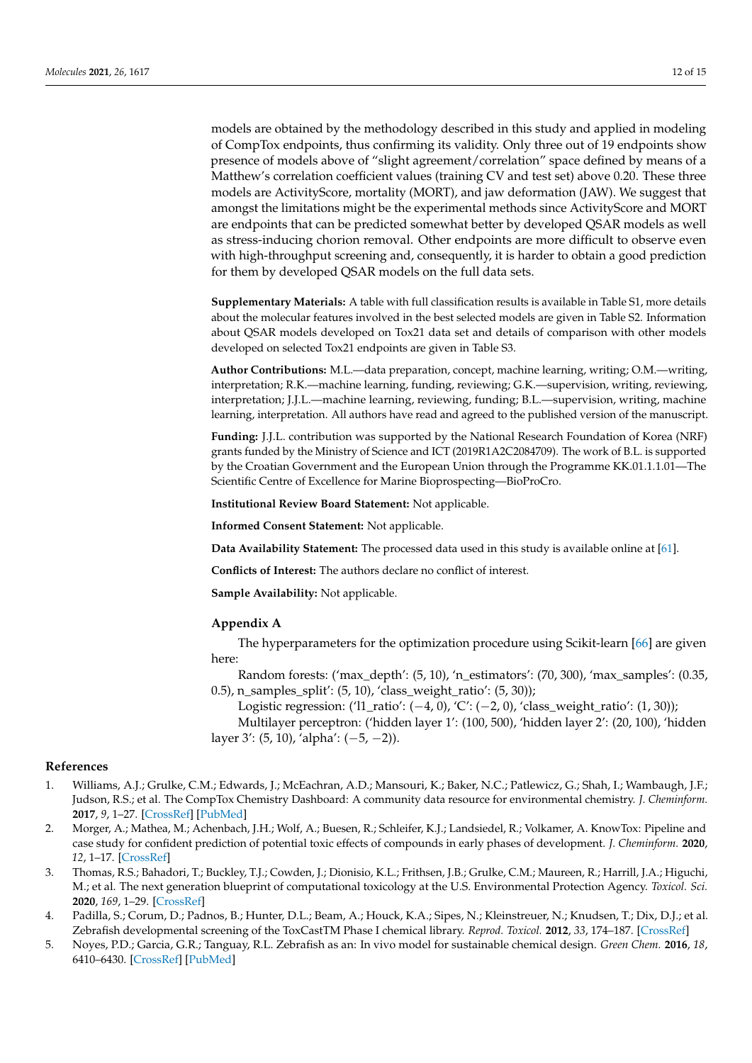models are obtained by the methodology described in this study and applied in modeling of CompTox endpoints, thus confirming its validity. Only three out of 19 endpoints show presence of models above of "slight agreement/correlation" space defined by means of a Matthew's correlation coefficient values (training CV and test set) above 0.20. These three models are ActivityScore, mortality (MORT), and jaw deformation (JAW). We suggest that amongst the limitations might be the experimental methods since ActivityScore and MORT are endpoints that can be predicted somewhat better by developed QSAR models as well as stress-inducing chorion removal. Other endpoints are more difficult to observe even with high-throughput screening and, consequently, it is harder to obtain a good prediction for them by developed QSAR models on the full data sets.

**Supplementary Materials:** A table with full classification results is available in Table S1, more details about the molecular features involved in the best selected models are given in Table S2. Information about QSAR models developed on Tox21 data set and details of comparison with other models developed on selected Tox21 endpoints are given in Table S3.

**Author Contributions:** M.L.—data preparation, concept, machine learning, writing; O.M.—writing, interpretation; R.K.—machine learning, funding, reviewing; G.K.—supervision, writing, reviewing, interpretation; J.J.L.—machine learning, reviewing, funding; B.L.—supervision, writing, machine learning, interpretation. All authors have read and agreed to the published version of the manuscript.

**Funding:** J.J.L. contribution was supported by the National Research Foundation of Korea (NRF) grants funded by the Ministry of Science and ICT (2019R1A2C2084709). The work of B.L. is supported by the Croatian Government and the European Union through the Programme KK.01.1.1.01—The Scientific Centre of Excellence for Marine Bioprospecting—BioProCro.

**Institutional Review Board Statement:** Not applicable.

**Informed Consent Statement:** Not applicable.

**Data Availability Statement:** The processed data used in this study is available online at [\[61\]](#page-14-2).

**Conflicts of Interest:** The authors declare no conflict of interest.

**Sample Availability:** Not applicable.

#### <span id="page-11-5"></span>**Appendix A**

The hyperparameters for the optimization procedure using Scikit-learn [\[66\]](#page-14-7) are given here:

Random forests: ('max\_depth':  $(5, 10)$ , 'n\_estimators':  $(70, 300)$ , 'max\_samples':  $(0.35,$ 0.5), n\_samples\_split': (5, 10), 'class\_weight\_ratio': (5, 30));

Logistic regression: ('l1\_ratio': (−4, 0), 'C': (−2, 0), 'class\_weight\_ratio': (1, 30));

Multilayer perceptron: ('hidden layer 1': (100, 500), 'hidden layer 2': (20, 100), 'hidden layer 3': (5, 10), 'alpha': (−5, −2)).

# **References**

- <span id="page-11-0"></span>1. Williams, A.J.; Grulke, C.M.; Edwards, J.; McEachran, A.D.; Mansouri, K.; Baker, N.C.; Patlewicz, G.; Shah, I.; Wambaugh, J.F.; Judson, R.S.; et al. The CompTox Chemistry Dashboard: A community data resource for environmental chemistry. *J. Cheminform.* **2017**, *9*, 1–27. [\[CrossRef\]](http://doi.org/10.1186/s13321-017-0247-6) [\[PubMed\]](http://www.ncbi.nlm.nih.gov/pubmed/29185060)
- <span id="page-11-1"></span>2. Morger, A.; Mathea, M.; Achenbach, J.H.; Wolf, A.; Buesen, R.; Schleifer, K.J.; Landsiedel, R.; Volkamer, A. KnowTox: Pipeline and case study for confident prediction of potential toxic effects of compounds in early phases of development. *J. Cheminform.* **2020**, *12*, 1–17. [\[CrossRef\]](http://doi.org/10.1186/s13321-020-00422-x)
- <span id="page-11-2"></span>3. Thomas, R.S.; Bahadori, T.; Buckley, T.J.; Cowden, J.; Dionisio, K.L.; Frithsen, J.B.; Grulke, C.M.; Maureen, R.; Harrill, J.A.; Higuchi, M.; et al. The next generation blueprint of computational toxicology at the U.S. Environmental Protection Agency. *Toxicol. Sci.* **2020**, *169*, 1–29. [\[CrossRef\]](http://doi.org/10.1093/toxsci/kfz058)
- <span id="page-11-3"></span>4. Padilla, S.; Corum, D.; Padnos, B.; Hunter, D.L.; Beam, A.; Houck, K.A.; Sipes, N.; Kleinstreuer, N.; Knudsen, T.; Dix, D.J.; et al. Zebrafish developmental screening of the ToxCastTM Phase I chemical library. *Reprod. Toxicol.* **2012**, *33*, 174–187. [\[CrossRef\]](http://doi.org/10.1016/j.reprotox.2011.10.018)
- <span id="page-11-4"></span>5. Noyes, P.D.; Garcia, G.R.; Tanguay, R.L. Zebrafish as an: In vivo model for sustainable chemical design. *Green Chem.* **2016**, *18*, 6410–6430. [\[CrossRef\]](http://doi.org/10.1039/C6GC02061E) [\[PubMed\]](http://www.ncbi.nlm.nih.gov/pubmed/28461781)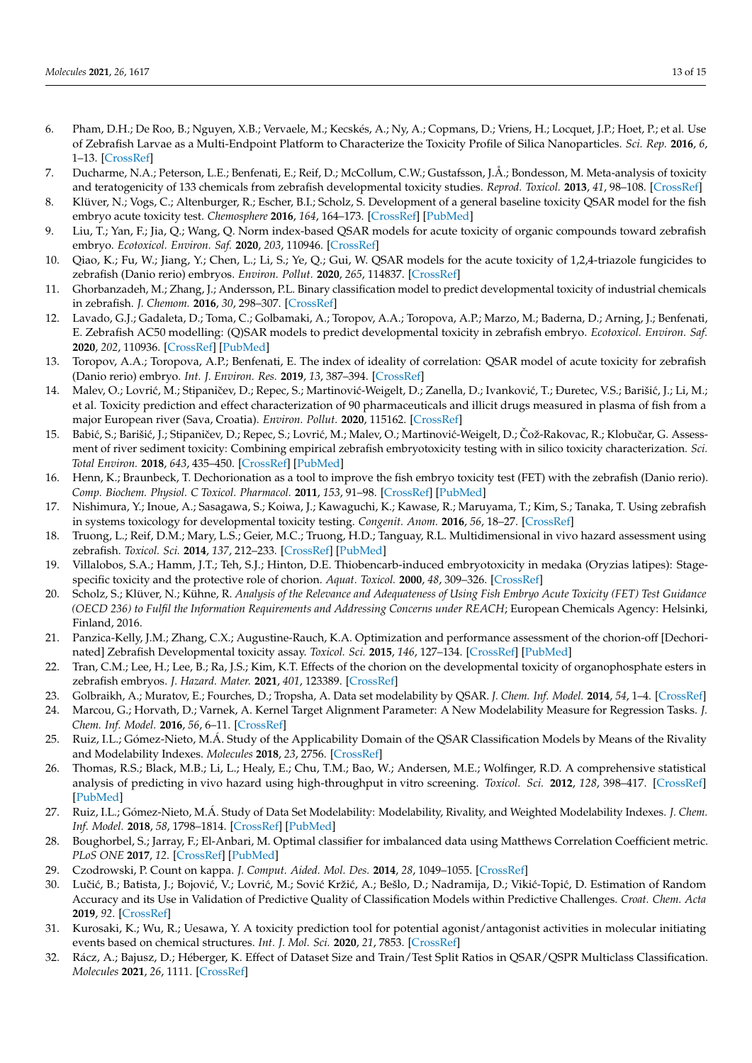- <span id="page-12-0"></span>6. Pham, D.H.; De Roo, B.; Nguyen, X.B.; Vervaele, M.; Kecskés, A.; Ny, A.; Copmans, D.; Vriens, H.; Locquet, J.P.; Hoet, P.; et al. Use of Zebrafish Larvae as a Multi-Endpoint Platform to Characterize the Toxicity Profile of Silica Nanoparticles. *Sci. Rep.* **2016**, *6*, 1–13. [\[CrossRef\]](http://doi.org/10.1038/srep37145)
- <span id="page-12-1"></span>7. Ducharme, N.A.; Peterson, L.E.; Benfenati, E.; Reif, D.; McCollum, C.W.; Gustafsson, J.Å.; Bondesson, M. Meta-analysis of toxicity and teratogenicity of 133 chemicals from zebrafish developmental toxicity studies. *Reprod. Toxicol.* **2013**, *41*, 98–108. [\[CrossRef\]](http://doi.org/10.1016/j.reprotox.2013.06.070)
- 8. Klüver, N.; Vogs, C.; Altenburger, R.; Escher, B.I.; Scholz, S. Development of a general baseline toxicity QSAR model for the fish embryo acute toxicity test. *Chemosphere* **2016**, *164*, 164–173. [\[CrossRef\]](http://doi.org/10.1016/j.chemosphere.2016.08.079) [\[PubMed\]](http://www.ncbi.nlm.nih.gov/pubmed/27588575)
- 9. Liu, T.; Yan, F.; Jia, Q.; Wang, Q. Norm index-based QSAR models for acute toxicity of organic compounds toward zebrafish embryo. *Ecotoxicol. Environ. Saf.* **2020**, *203*, 110946. [\[CrossRef\]](http://doi.org/10.1016/j.ecoenv.2020.110946)
- <span id="page-12-2"></span>10. Qiao, K.; Fu, W.; Jiang, Y.; Chen, L.; Li, S.; Ye, Q.; Gui, W. QSAR models for the acute toxicity of 1,2,4-triazole fungicides to zebrafish (Danio rerio) embryos. *Environ. Pollut.* **2020**, *265*, 114837. [\[CrossRef\]](http://doi.org/10.1016/j.envpol.2020.114837)
- <span id="page-12-3"></span>11. Ghorbanzadeh, M.; Zhang, J.; Andersson, P.L. Binary classification model to predict developmental toxicity of industrial chemicals in zebrafish. *J. Chemom.* **2016**, *30*, 298–307. [\[CrossRef\]](http://doi.org/10.1002/cem.2791)
- <span id="page-12-7"></span>12. Lavado, G.J.; Gadaleta, D.; Toma, C.; Golbamaki, A.; Toropov, A.A.; Toropova, A.P.; Marzo, M.; Baderna, D.; Arning, J.; Benfenati, E. Zebrafish AC50 modelling: (Q)SAR models to predict developmental toxicity in zebrafish embryo. *Ecotoxicol. Environ. Saf.* **2020**, *202*, 110936. [\[CrossRef\]](http://doi.org/10.1016/j.ecoenv.2020.110936) [\[PubMed\]](http://www.ncbi.nlm.nih.gov/pubmed/32800219)
- <span id="page-12-4"></span>13. Toropov, A.A.; Toropova, A.P.; Benfenati, E. The index of ideality of correlation: QSAR model of acute toxicity for zebrafish (Danio rerio) embryo. *Int. J. Environ. Res.* **2019**, *13*, 387–394. [\[CrossRef\]](http://doi.org/10.1007/s41742-019-00183-y)
- <span id="page-12-5"></span>14. Malev, O.; Lovrić, M.; Stipaničev, D.; Repec, S.; Martinović-Weigelt, D.; Zanella, D.; Ivanković, T.; Đuretec, V.S.; Barišić, J.; Li, M.; et al. Toxicity prediction and effect characterization of 90 pharmaceuticals and illicit drugs measured in plasma of fish from a major European river (Sava, Croatia). *Environ. Pollut.* **2020**, 115162. [\[CrossRef\]](http://doi.org/10.1016/j.envpol.2020.115162)
- <span id="page-12-6"></span>15. Babić, S.; Barišić, J.; Stipaničev, D.; Repec, S.; Lovrić, M.; Malev, O.; Martinović-Weigelt, D.; Čož-Rakovac, R.; Klobučar, G. Assessment of river sediment toxicity: Combining empirical zebrafish embryotoxicity testing with in silico toxicity characterization. *Sci. Total Environ.* **2018**, *643*, 435–450. [\[CrossRef\]](http://doi.org/10.1016/j.scitotenv.2018.06.124) [\[PubMed\]](http://www.ncbi.nlm.nih.gov/pubmed/29945079)
- <span id="page-12-8"></span>16. Henn, K.; Braunbeck, T. Dechorionation as a tool to improve the fish embryo toxicity test (FET) with the zebrafish (Danio rerio). *Comp. Biochem. Physiol. C Toxicol. Pharmacol.* **2011**, *153*, 91–98. [\[CrossRef\]](http://doi.org/10.1016/j.cbpc.2010.09.003) [\[PubMed\]](http://www.ncbi.nlm.nih.gov/pubmed/20869464)
- <span id="page-12-9"></span>17. Nishimura, Y.; Inoue, A.; Sasagawa, S.; Koiwa, J.; Kawaguchi, K.; Kawase, R.; Maruyama, T.; Kim, S.; Tanaka, T. Using zebrafish in systems toxicology for developmental toxicity testing. *Congenit. Anom.* **2016**, *56*, 18–27. [\[CrossRef\]](http://doi.org/10.1111/cga.12142)
- <span id="page-12-10"></span>18. Truong, L.; Reif, D.M.; Mary, L.S.; Geier, M.C.; Truong, H.D.; Tanguay, R.L. Multidimensional in vivo hazard assessment using zebrafish. *Toxicol. Sci.* **2014**, *137*, 212–233. [\[CrossRef\]](http://doi.org/10.1093/toxsci/kft235) [\[PubMed\]](http://www.ncbi.nlm.nih.gov/pubmed/24136191)
- <span id="page-12-11"></span>19. Villalobos, S.A.; Hamm, J.T.; Teh, S.J.; Hinton, D.E. Thiobencarb-induced embryotoxicity in medaka (Oryzias latipes): Stagespecific toxicity and the protective role of chorion. *Aquat. Toxicol.* **2000**, *48*, 309–326. [\[CrossRef\]](http://doi.org/10.1016/S0166-445X(99)00032-6)
- <span id="page-12-12"></span>20. Scholz, S.; Klüver, N.; Kühne, R. *Analysis of the Relevance and Adequateness of Using Fish Embryo Acute Toxicity (FET) Test Guidance (OECD 236) to Fulfil the Information Requirements and Addressing Concerns under REACH*; European Chemicals Agency: Helsinki, Finland, 2016.
- <span id="page-12-13"></span>21. Panzica-Kelly, J.M.; Zhang, C.X.; Augustine-Rauch, K.A. Optimization and performance assessment of the chorion-off [Dechorinated] Zebrafish Developmental toxicity assay. *Toxicol. Sci.* **2015**, *146*, 127–134. [\[CrossRef\]](http://doi.org/10.1093/toxsci/kfv076) [\[PubMed\]](http://www.ncbi.nlm.nih.gov/pubmed/25877614)
- <span id="page-12-14"></span>22. Tran, C.M.; Lee, H.; Lee, B.; Ra, J.S.; Kim, K.T. Effects of the chorion on the developmental toxicity of organophosphate esters in zebrafish embryos. *J. Hazard. Mater.* **2021**, *401*, 123389. [\[CrossRef\]](http://doi.org/10.1016/j.jhazmat.2020.123389)
- <span id="page-12-15"></span>23. Golbraikh, A.; Muratov, E.; Fourches, D.; Tropsha, A. Data set modelability by QSAR. *J. Chem. Inf. Model.* **2014**, *54*, 1–4. [\[CrossRef\]](http://doi.org/10.1021/ci400572x)
- <span id="page-12-17"></span>24. Marcou, G.; Horvath, D.; Varnek, A. Kernel Target Alignment Parameter: A New Modelability Measure for Regression Tasks. *J. Chem. Inf. Model.* **2016**, *56*, 6–11. [\[CrossRef\]](http://doi.org/10.1021/acs.jcim.5b00539)
- <span id="page-12-18"></span>25. Ruiz, I.L.; Gómez-Nieto, M.Á. Study of the Applicability Domain of the QSAR Classification Models by Means of the Rivality and Modelability Indexes. *Molecules* **2018**, *23*, 2756. [\[CrossRef\]](http://doi.org/10.3390/molecules23112756)
- <span id="page-12-16"></span>26. Thomas, R.S.; Black, M.B.; Li, L.; Healy, E.; Chu, T.M.; Bao, W.; Andersen, M.E.; Wolfinger, R.D. A comprehensive statistical analysis of predicting in vivo hazard using high-throughput in vitro screening. *Toxicol. Sci.* **2012**, *128*, 398–417. [\[CrossRef\]](http://doi.org/10.1093/toxsci/kfs159) [\[PubMed\]](http://www.ncbi.nlm.nih.gov/pubmed/22543276)
- <span id="page-12-19"></span>27. Ruiz, I.L.; Gómez-Nieto, M.Á. Study of Data Set Modelability: Modelability, Rivality, and Weighted Modelability Indexes. *J. Chem. Inf. Model.* **2018**, *58*, 1798–1814. [\[CrossRef\]](http://doi.org/10.1021/acs.jcim.8b00188) [\[PubMed\]](http://www.ncbi.nlm.nih.gov/pubmed/30149700)
- <span id="page-12-20"></span>28. Boughorbel, S.; Jarray, F.; El-Anbari, M. Optimal classifier for imbalanced data using Matthews Correlation Coefficient metric. *PLoS ONE* **2017**, *12*. [\[CrossRef\]](http://doi.org/10.1371/journal.pone.0177678) [\[PubMed\]](http://www.ncbi.nlm.nih.gov/pubmed/28574989)
- <span id="page-12-21"></span>29. Czodrowski, P. Count on kappa. *J. Comput. Aided. Mol. Des.* **2014**, *28*, 1049–1055. [\[CrossRef\]](http://doi.org/10.1007/s10822-014-9759-6)
- <span id="page-12-22"></span>Lučić, B.; Batista, J.; Bojović, V.; Lovrić, M.; Sović Kržić, A.; Bešlo, D.; Nadramija, D.; Vikić-Topić, D. Estimation of Random Accuracy and its Use in Validation of Predictive Quality of Classification Models within Predictive Challenges. *Croat. Chem. Acta* **2019**, *92*. [\[CrossRef\]](http://doi.org/10.5562/cca3551)
- <span id="page-12-23"></span>31. Kurosaki, K.; Wu, R.; Uesawa, Y. A toxicity prediction tool for potential agonist/antagonist activities in molecular initiating events based on chemical structures. *Int. J. Mol. Sci.* **2020**, *21*, 7853. [\[CrossRef\]](http://doi.org/10.3390/ijms21217853)
- 32. Rácz, A.; Bajusz, D.; Héberger, K. Effect of Dataset Size and Train/Test Split Ratios in QSAR/QSPR Multiclass Classification. *Molecules* **2021**, *26*, 1111. [\[CrossRef\]](http://doi.org/10.3390/molecules26041111)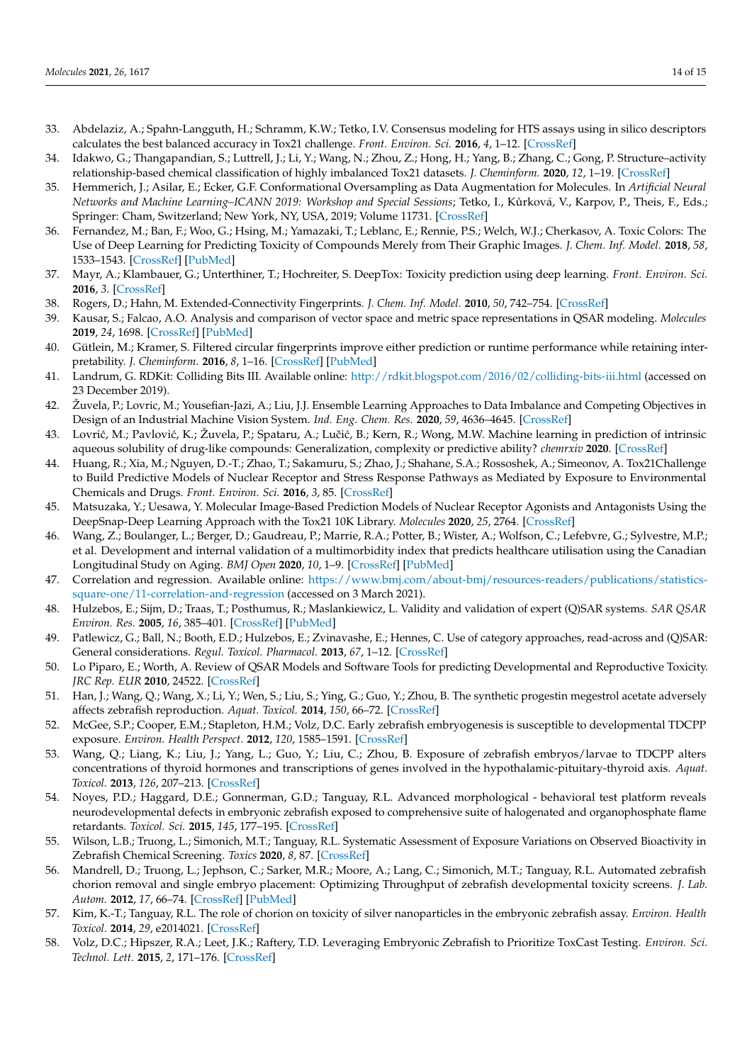- <span id="page-13-0"></span>33. Abdelaziz, A.; Spahn-Langguth, H.; Schramm, K.W.; Tetko, I.V. Consensus modeling for HTS assays using in silico descriptors calculates the best balanced accuracy in Tox21 challenge. *Front. Environ. Sci.* **2016**, *4*, 1–12. [\[CrossRef\]](http://doi.org/10.3389/fenvs.2016.00002)
- <span id="page-13-1"></span>34. Idakwo, G.; Thangapandian, S.; Luttrell, J.; Li, Y.; Wang, N.; Zhou, Z.; Hong, H.; Yang, B.; Zhang, C.; Gong, P. Structure–activity relationship-based chemical classification of highly imbalanced Tox21 datasets. *J. Cheminform.* **2020**, *12*, 1–19. [\[CrossRef\]](http://doi.org/10.1186/s13321-020-00468-x)
- <span id="page-13-2"></span>35. Hemmerich, J.; Asilar, E.; Ecker, G.F. Conformational Oversampling as Data Augmentation for Molecules. In *Artificial Neural Networks and Machine Learning–ICANN 2019: Workshop and Special Sessions; Tetko, I., Kůrková, V., Karpov, P., Theis, F., Eds.;* Springer: Cham, Switzerland; New York, NY, USA, 2019; Volume 11731. [\[CrossRef\]](http://doi.org/10.1007/978-3-030-30493-5_74)
- 36. Fernandez, M.; Ban, F.; Woo, G.; Hsing, M.; Yamazaki, T.; Leblanc, E.; Rennie, P.S.; Welch, W.J.; Cherkasov, A. Toxic Colors: The Use of Deep Learning for Predicting Toxicity of Compounds Merely from Their Graphic Images. *J. Chem. Inf. Model.* **2018**, *58*, 1533–1543. [\[CrossRef\]](http://doi.org/10.1021/acs.jcim.8b00338) [\[PubMed\]](http://www.ncbi.nlm.nih.gov/pubmed/30063345)
- <span id="page-13-3"></span>37. Mayr, A.; Klambauer, G.; Unterthiner, T.; Hochreiter, S. DeepTox: Toxicity prediction using deep learning. *Front. Environ. Sci.* **2016**, *3*. [\[CrossRef\]](http://doi.org/10.3389/fenvs.2015.00080)
- <span id="page-13-4"></span>38. Rogers, D.; Hahn, M. Extended-Connectivity Fingerprints. *J. Chem. Inf. Model.* **2010**, *50*, 742–754. [\[CrossRef\]](http://doi.org/10.1021/ci100050t)
- <span id="page-13-5"></span>39. Kausar, S.; Falcao, A.O. Analysis and comparison of vector space and metric space representations in QSAR modeling. *Molecules* **2019**, *24*, 1698. [\[CrossRef\]](http://doi.org/10.3390/molecules24091698) [\[PubMed\]](http://www.ncbi.nlm.nih.gov/pubmed/31052325)
- <span id="page-13-6"></span>40. Gütlein, M.; Kramer, S. Filtered circular fingerprints improve either prediction or runtime performance while retaining interpretability. *J. Cheminform.* **2016**, *8*, 1–16. [\[CrossRef\]](http://doi.org/10.1186/s13321-016-0173-z) [\[PubMed\]](http://www.ncbi.nlm.nih.gov/pubmed/27853484)
- <span id="page-13-7"></span>41. Landrum, G. RDKit: Colliding Bits III. Available online: <http://rdkit.blogspot.com/2016/02/colliding-bits-iii.html> (accessed on 23 December 2019).
- <span id="page-13-8"></span>42. Žuvela, P.; Lovric, M.; Yousefian-Jazi, A.; Liu, J.J. Ensemble Learning Approaches to Data Imbalance and Competing Objectives in Design of an Industrial Machine Vision System. *Ind. Eng. Chem. Res.* **2020**, *59*, 4636–4645. [\[CrossRef\]](http://doi.org/10.1021/acs.iecr.9b05766)
- <span id="page-13-9"></span>43. Lovrić, M.; Pavlović, K.; Žuvela, P.; Spataru, A.; Lučić, B.; Kern, R.; Wong, M.W. Machine learning in prediction of intrinsic aqueous solubility of drug-like compounds: Generalization, complexity or predictive ability? *chemrxiv* **2020**. [\[CrossRef\]](http://doi.org/10.26434/chemrxiv.12746948)
- <span id="page-13-10"></span>44. Huang, R.; Xia, M.; Nguyen, D.-T.; Zhao, T.; Sakamuru, S.; Zhao, J.; Shahane, S.A.; Rossoshek, A.; Simeonov, A. Tox21Challenge to Build Predictive Models of Nuclear Receptor and Stress Response Pathways as Mediated by Exposure to Environmental Chemicals and Drugs. *Front. Environ. Sci.* **2016**, *3*, 85. [\[CrossRef\]](http://doi.org/10.3389/fenvs.2015.00085)
- <span id="page-13-11"></span>45. Matsuzaka, Y.; Uesawa, Y. Molecular Image-Based Prediction Models of Nuclear Receptor Agonists and Antagonists Using the DeepSnap-Deep Learning Approach with the Tox21 10K Library. *Molecules* **2020**, *25*, 2764. [\[CrossRef\]](http://doi.org/10.3390/molecules25122764)
- <span id="page-13-12"></span>46. Wang, Z.; Boulanger, L.; Berger, D.; Gaudreau, P.; Marrie, R.A.; Potter, B.; Wister, A.; Wolfson, C.; Lefebvre, G.; Sylvestre, M.P.; et al. Development and internal validation of a multimorbidity index that predicts healthcare utilisation using the Canadian Longitudinal Study on Aging. *BMJ Open* **2020**, *10*, 1–9. [\[CrossRef\]](http://doi.org/10.1136/bmjopen-2019-033974) [\[PubMed\]](http://www.ncbi.nlm.nih.gov/pubmed/32241787)
- <span id="page-13-13"></span>47. Correlation and regression. Available online: [https://www.bmj.com/about-bmj/resources-readers/publications/statistics](https://www.bmj.com/about-bmj/resources-readers/publications/statistics-square-one/11-correlation-and-regression)[square-one/11-correlation-and-regression](https://www.bmj.com/about-bmj/resources-readers/publications/statistics-square-one/11-correlation-and-regression) (accessed on 3 March 2021).
- <span id="page-13-14"></span>48. Hulzebos, E.; Sijm, D.; Traas, T.; Posthumus, R.; Maslankiewicz, L. Validity and validation of expert (Q)SAR systems. *SAR QSAR Environ. Res.* **2005**, *16*, 385–401. [\[CrossRef\]](http://doi.org/10.1080/10659360500204426) [\[PubMed\]](http://www.ncbi.nlm.nih.gov/pubmed/16234178)
- 49. Patlewicz, G.; Ball, N.; Booth, E.D.; Hulzebos, E.; Zvinavashe, E.; Hennes, C. Use of category approaches, read-across and (Q)SAR: General considerations. *Regul. Toxicol. Pharmacol.* **2013**, *67*, 1–12. [\[CrossRef\]](http://doi.org/10.1016/j.yrtph.2013.06.002)
- <span id="page-13-15"></span>50. Lo Piparo, E.; Worth, A. Review of QSAR Models and Software Tools for predicting Developmental and Reproductive Toxicity. *JRC Rep. EUR* **2010**, 24522. [\[CrossRef\]](http://doi.org/10.2788/9628)
- <span id="page-13-16"></span>51. Han, J.; Wang, Q.; Wang, X.; Li, Y.; Wen, S.; Liu, S.; Ying, G.; Guo, Y.; Zhou, B. The synthetic progestin megestrol acetate adversely affects zebrafish reproduction. *Aquat. Toxicol.* **2014**, *150*, 66–72. [\[CrossRef\]](http://doi.org/10.1016/j.aquatox.2014.02.020)
- 52. McGee, S.P.; Cooper, E.M.; Stapleton, H.M.; Volz, D.C. Early zebrafish embryogenesis is susceptible to developmental TDCPP exposure. *Environ. Health Perspect.* **2012**, *120*, 1585–1591. [\[CrossRef\]](http://doi.org/10.1289/ehp.1205316)
- <span id="page-13-17"></span>53. Wang, Q.; Liang, K.; Liu, J.; Yang, L.; Guo, Y.; Liu, C.; Zhou, B. Exposure of zebrafish embryos/larvae to TDCPP alters concentrations of thyroid hormones and transcriptions of genes involved in the hypothalamic-pituitary-thyroid axis. *Aquat. Toxicol.* **2013**, *126*, 207–213. [\[CrossRef\]](http://doi.org/10.1016/j.aquatox.2012.11.009)
- <span id="page-13-18"></span>54. Noyes, P.D.; Haggard, D.E.; Gonnerman, G.D.; Tanguay, R.L. Advanced morphological - behavioral test platform reveals neurodevelopmental defects in embryonic zebrafish exposed to comprehensive suite of halogenated and organophosphate flame retardants. *Toxicol. Sci.* **2015**, *145*, 177–195. [\[CrossRef\]](http://doi.org/10.1093/toxsci/kfv044)
- <span id="page-13-19"></span>55. Wilson, L.B.; Truong, L.; Simonich, M.T.; Tanguay, R.L. Systematic Assessment of Exposure Variations on Observed Bioactivity in Zebrafish Chemical Screening. *Toxics* **2020**, *8*, 87. [\[CrossRef\]](http://doi.org/10.3390/toxics8040087)
- <span id="page-13-20"></span>56. Mandrell, D.; Truong, L.; Jephson, C.; Sarker, M.R.; Moore, A.; Lang, C.; Simonich, M.T.; Tanguay, R.L. Automated zebrafish chorion removal and single embryo placement: Optimizing Throughput of zebrafish developmental toxicity screens. *J. Lab. Autom.* **2012**, *17*, 66–74. [\[CrossRef\]](http://doi.org/10.1177/2211068211432197) [\[PubMed\]](http://www.ncbi.nlm.nih.gov/pubmed/22357610)
- <span id="page-13-21"></span>57. Kim, K.-T.; Tanguay, R.L. The role of chorion on toxicity of silver nanoparticles in the embryonic zebrafish assay. *Environ. Health Toxicol.* **2014**, *29*, e2014021. [\[CrossRef\]](http://doi.org/10.5620/eht.e2014021)
- <span id="page-13-22"></span>58. Volz, D.C.; Hipszer, R.A.; Leet, J.K.; Raftery, T.D. Leveraging Embryonic Zebrafish to Prioritize ToxCast Testing. *Environ. Sci. Technol. Lett.* **2015**, *2*, 171–176. [\[CrossRef\]](http://doi.org/10.1021/acs.estlett.5b00123)